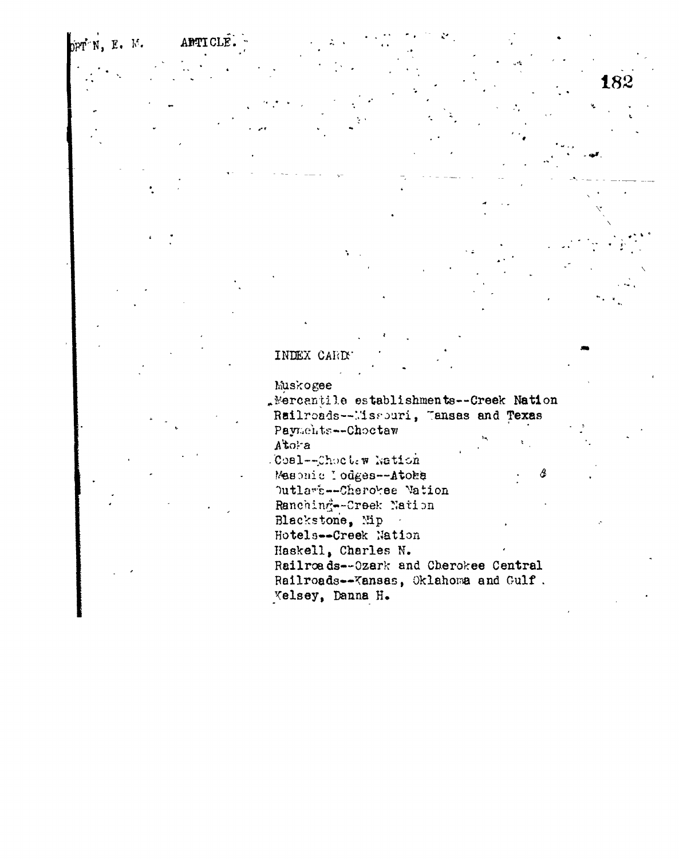## ppr N, E. M. APTICLE.

## INDEX CARDS

## Muskogee

"Mercantile establishments--Creek Nation Railroads--Missouri, Tansas and Texas Payments--Choctaw Atora Coal--Choctew Nation Mesonic lodges -- Atoke Outlart-Cherokee Vation Ranching--Creek Nation Blackstone, Nip Hotels--Creek Nation Haskell, Charles N. Railroads--Ozark and Cherokee Central Railroads--Kansas, Oklahoma and Gulf. Velsey, Danna H.

182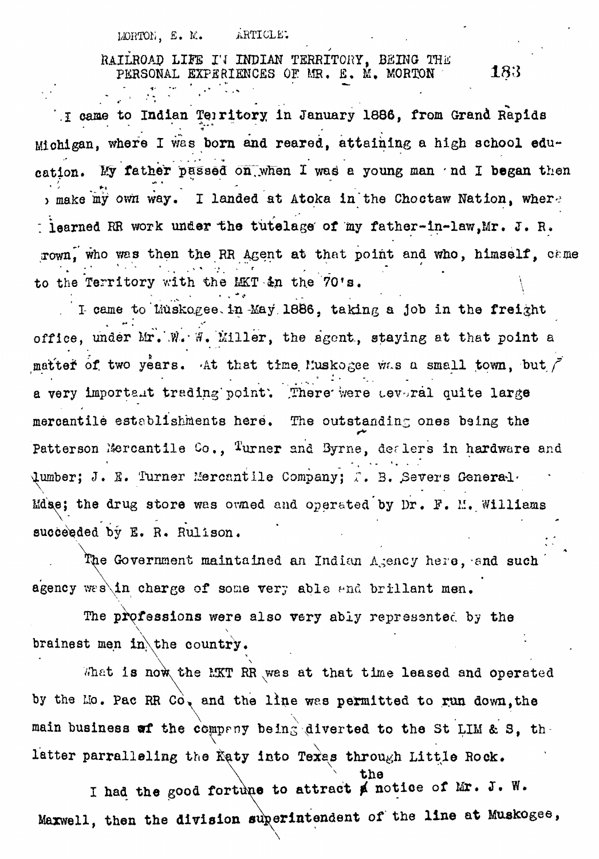ARTICLE. LORTON. E. M.

RAILROAD LIFE I'I INDIAN TERRITORY, BEING THE PERSONAL EXPERIENCES OF MR. E. M. MORTON

183

I came to Indian Territory in January 1886, from Grand Rapids Michigan, where I was born and reared, attaining a high school education. My father passed on when I was a young man 'nd I began then , make my own way. I landed at Atoka in the Choctaw Nation, where hearned RR work under the tutelage of my father-in-law, Mr. J. R. rown, who was then the RR Agent at that point and who, himself, came to the Territory with the MKT in the 70's.

I came to Liuskogee in May 1886, taking a job in the freight office, under Mr. W. W. Miller, the agent, staying at that point a matter of two years. At that time Muskogee was a small town, but / a very important trading point. There were teveral quite large mercantile establishments here. The outstanding ones being the Patterson Mercantile Co., Turner and Byrne, dealers in hardware and Qumber; J. E. Turner Mercantile Company: T. B. Severs General. Mdse; the drug store was owned and operated by Dr. F. M. Williams succeeded by E. R. Rulison.

The Government maintained an Indian Agency here, and such agency wes in charge of some very able and brillant men.

The professions were also very ably represented by the brainest men in the country.

What is now the EKT RR was at that time leased and operated by the Mo. Pac RR Co, and the line was permitted to run down, the main business of the company being diverted to the St LIM & S, thlatter parralleling the Katy into Texas through Little Rock.

I had the good fortune to attract ø notice of Mr. J. W. Maxwell, then the division superintendent of the line at Muskogee,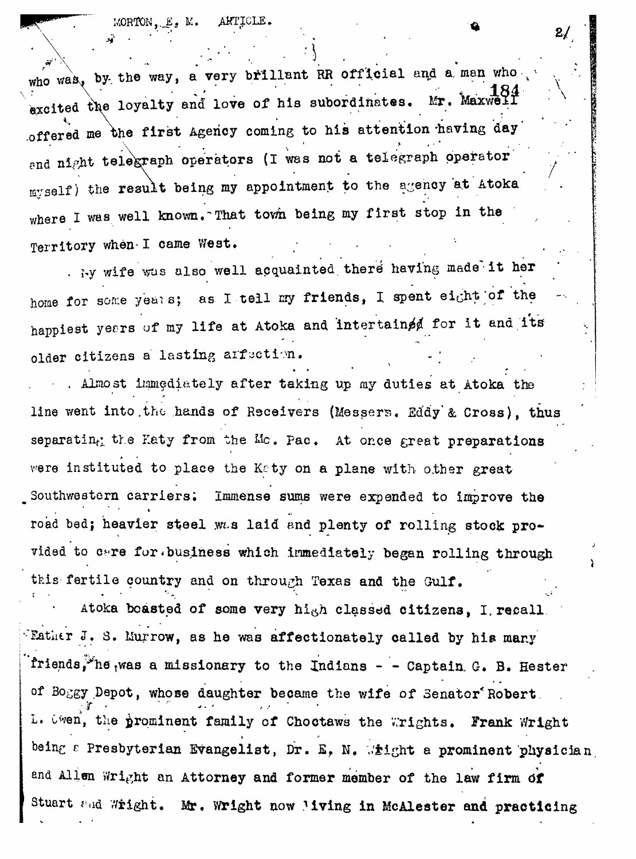MORTON, E. M. AKTICLE.

who was, by the way, a very brillant RR official and a man who **\xcited the loyalty and love of his subordinates. Mr, Maxweir** *x*  $\mathbf{x} \cdot \mathbf{y} = \mathbf{y} \cdot \mathbf{y}$ **offered me the first Agency coming to his attention -having day** and night telegraph operators (I was not a telegraph operator myself) the result being my appointment to the agency at Atoka **where I was well known.~That town being my first stop in the** Territory when I came West.

**. i-y wife Vas also well acquainted, there<sup>1</sup> having made'it her** home for some yeats; as I tell my friends, I spent eight of the happiest years of my life at Atoka and intertained for it and its older citizens a lasting arfaction.

**- , Almost immediately after taking up my duties at Atoka the line went into.tho hands of Rsceivers (Messers, Ed'dy'& Cross), thus** separatin<sub>f</sub> the Eaty from the Mc. Pac. At once great preparations were instituted to place the Katy on a plane with other great Southwestern carriers; Immense sums were expended to improve the road bed; heavier steel wLs laid and plenty of rolling stock provided to care for business which immediately began rolling through **this-fertile country and on through Texas and the Gulf.**

Atoka boasted of some very hi<sub>gh</sub> classed citizens, I recall, **Father J. S. Murrow, as he was affectionately called by his many friends,** the **was a missionary to the Indians - - Captain G. B. Hester of Boggy Depot, whose daughter became the wife of Senator\*Robert .** L. Uwen, the prominent family of Choctaws the Wrights. Frank Wright **e Presbyterian Evangelist, Dr. £, N. ,. <sup>r</sup>\*ight a prominent physician** and Allen Wright an Attorney and former member of the law firm of Stuart and Wright. Mr. Wright now Mving in McAlester and practicing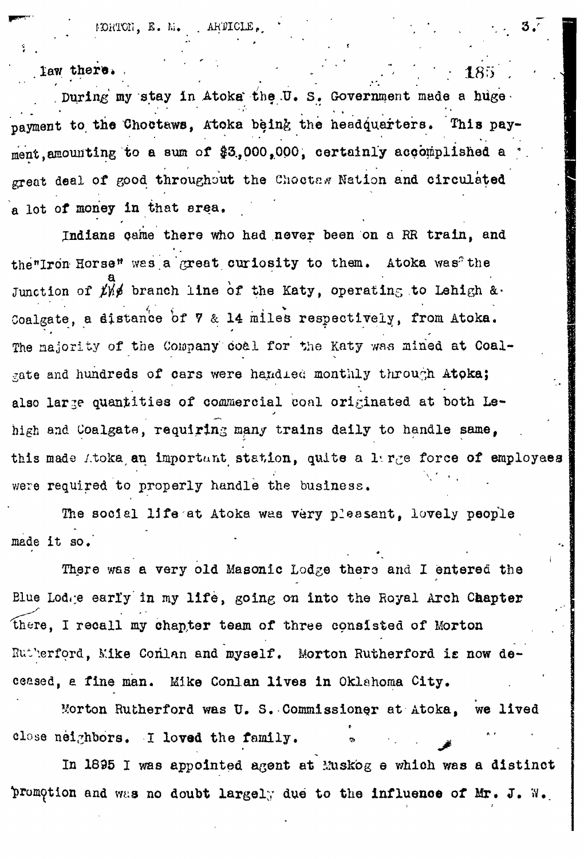*••>',' . ' '*

law there.

. During my stay in Atoka the U, S. Government made a hugepayment to the Choctaws, Atoka being the headquarters. This payment, amounting to a sum of \$3,000,000, certainly accomplished a great deal of good throughout the Choctes Nation and circulated a lot of money in that area.

Indians came there who had never been on a RR train, and the "Iron Horse" was a great curiosity to them. Atoka was" the  $a$   $d$  because its in  $a$   $a$  the Junction *of fy#* branch line of the Katy, operating to Lehigh &• Coalgate, a distance *'of 7* & 14 miles respectively, from Atoka. The majority of the Company coal for the Katy was mined at Coalgate and hundreds of cars were handled monthly through Atoka; also large quantities of commercial coal originated at both Lehigh and Coalgate, requiring many trains daily to handle same, this made itoka an important station, quite a large force of employees were required to properly handle the business.

The social life at Atoka was very pleesant, lovely people made it so.  $\cdot$   $\cdot$ 

**There was a very old Masonic Lodge thero and I entered the Blue Lodre earl'y in my life, going on into the Royal Arch Chapter there, I recall my chapter team of three consisted of Morton** Rutherford, Mike Conlan and myself. Morton Rutherford is now de**ceased, a fine man. Mike Conlan lives in Oklahoma City,**

Morton Rutherford was U. S. Commissioner at Atoka, we lived close neighbors. I loved the family.

In 1895 I was appointed agent at Muskog e which was a distinct **promption and was no doubt largely due to the influence of Mr. J. W.** 

185

i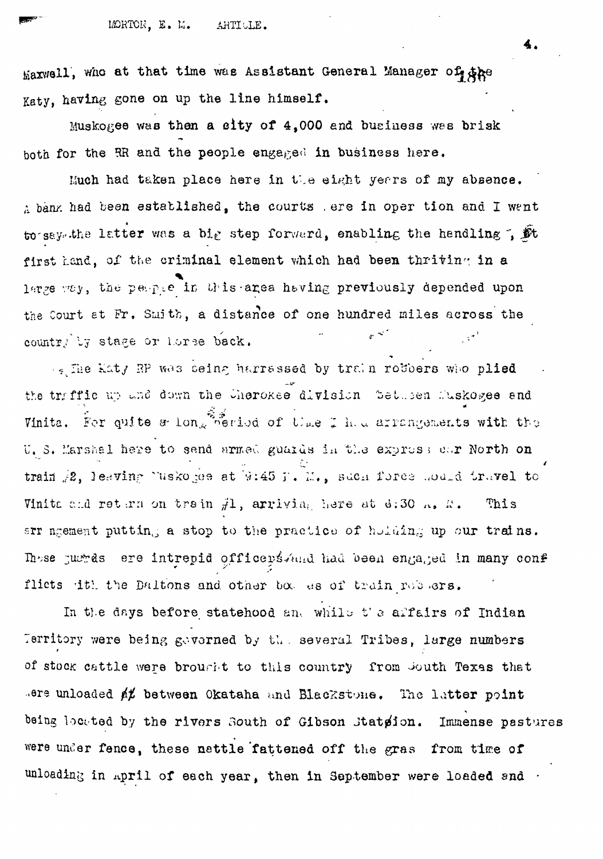MORTON. E. M. ARTICLE.

Maxwell, who at that time was Assistant General Manager of the Katy, having gone on up the line himself.

Muskogee was then a city of 4,000 and business was brisk both for the RR and the people engaged in business here.

Much had taken place here in the eight years of my absence. A bank had been established, the courts ere in oper tion and I went to say. the latter was a big step forward, enabling the hendling ,  $\tilde{\mathbf{M}}$ first hand, of the criminal element which had been thriving in a large way, the people in this area having previously depended upon the Court at Fr. Smith, a distance of one hundred miles across the country by stage or horse back.

by The Katy RP was seing harrassed by train robbers who plied the traffic up and down the Cherokee division Setusen Muskegee and Vinita. For quite æ long period of the I had arrangements with the U. S. Marshal here to send armed guards in the exprose car North on train 2, leaving luskoges at 9:45 f. M., such force moded travel to Vinita and return on train  $H$ , arriving here at d:30  $\ldots$ ,  $\mathbb{R}$ . This arr ngement putting a stop to the practice of holding up our trains. These justes ere intrepid officers And had been engaged in many conf flicts dth the Daltons and other box es of train robbers.

In the days before statehood and while the affairs of Indian Territory were being governed by the several Tribes, large numbers of stock cattle were brought to this country from South Texas that sere unloaded at between Okataha and Blackstone. The latter point being located by the rivers South of Gibson Stateion. Immense pastures were under fence, these nattle fattened off the gras from time of unloading in april of each year, then in September were loaded and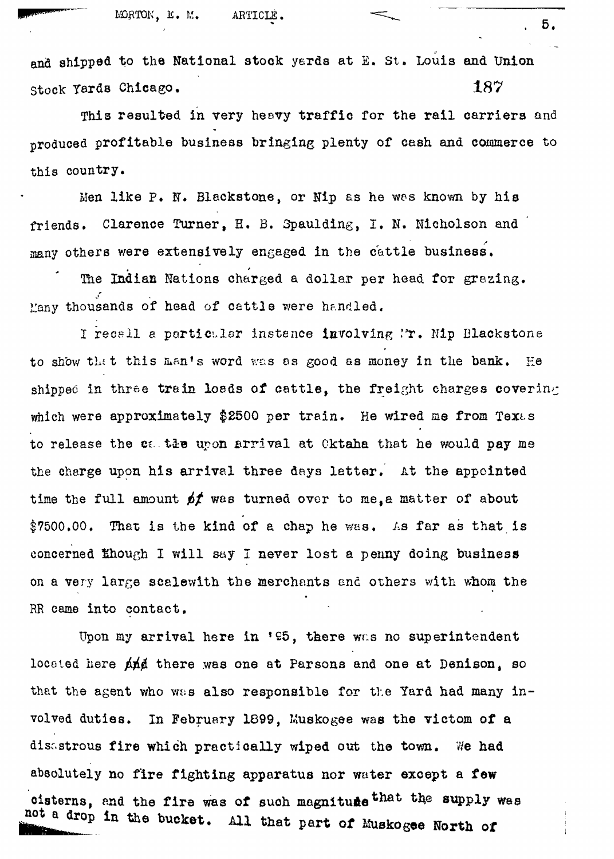and shipped to the National stock yards at E. St. Louis and Union Stock Tards Chicago. 187

This resulted in very hesvy traffic for the rail carriers and produced profitable business bringing plenty of cash and commerce to this country.

Men like P. N. Blackstone, or Nip as he was known by his friends. Clarence Turner, H. B. Spaulding, I. N. Micholson and many others were extensively engaged in the cattle business.

The Indian Nations charged a dollar per head, for grazing. Many thousands of head of cattle were handled.

I recall a particular instance involving Ir. Mip Blackstone to show that this man's word was as good as money in the bank. He shipped in three train loads of cattle, the freight charges covering which were approximately \$2500 per train. He wired me from Texas to release the calter upon arrival at Oktaha that he would pay me the charge upon his arrival three days latter. At the appointed time the full amount  $p f$  was turned over to me, a matter of about  $$7500.00$ . That is the kind of a chap he was. As far as that is concerned though I will say I never lost a penny doing business on a very large scalewith the merchants and others with whom the on a very large variable that the merchants end others with the merchants end others with whom the merchants  $\mathcal{C}$ 

RR came into contact. Upon my arrival here in '95, there was no superintendent<br>located here  $\cancel{\text{and}}$  there was one at Parsons and one at Denison, so that the agent who was also responsible for the Yard had many inthat the agent who was also responsible for the  $\mathcal{A}$  responsible for the Yard had many involved duties. In February 1899, Kuskogee was the victor of a strategie was the victor of a strategie was the<br>The victor of a strategie was the victor of a strategie was the victor of a strategie was the victor of a stra disastrous fire which practically wiped out the town. We had  $\frac{1}{2}$  and fighting applies the fighting approximation of water except and  $\frac{1}{2}$ cisterns, and the fire was of such magniture that the supply west e Miro part of the bucket. All that part of Muskogee North of

. 5,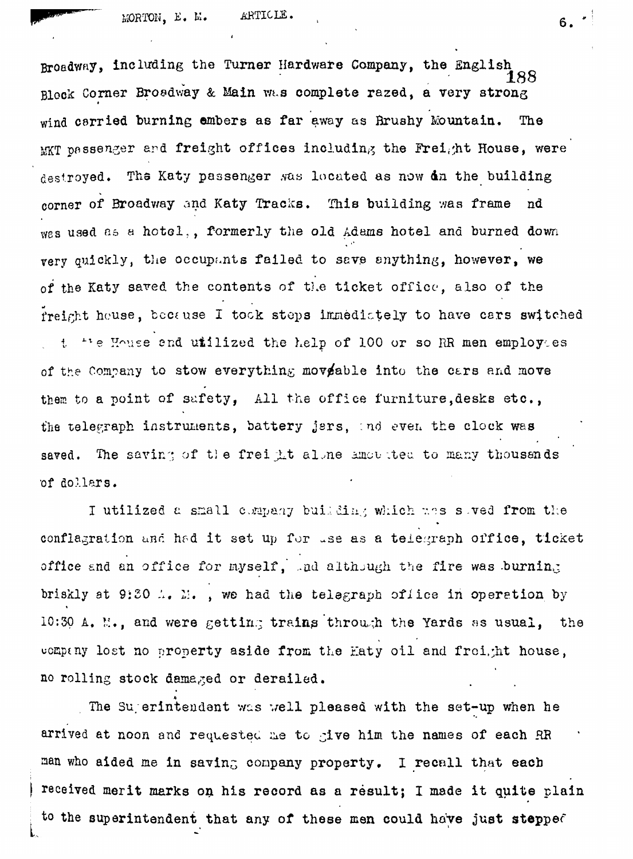Broadway, including the Turner Hardware Company, the English 188 Block Corner Broadway & Main wt.s complete razed, a very strong wind carried burning ambers as far away as Bruahy Mountain. The  $MKT$  passenger ard freight offices including the Freight House, were destroyed. The Katy passenger was located as now dn the building corner of Broadway and Katy Tracks. This building was frame nd wes used as a hotel,, formerly the old Adams hotel and burned down very quickly, the occupants failed to save anything, however, we of the Katy saved the contents of the ticket office, also of the freight house, because I took steps immedictely to have cars switched t the House and utilized the help of 100 or so RR men employees of the Company to stow everything moveable into the cars and move them to a point of safety, All the office furniture, desks etc., the telegraph instruments, battery jers, and even the clock was saved. The saving of the freight alone amousted to many thousands •of dollars.

I utilized a small company building which wes soved from the conflagration und had it set up for use as a telegraph office, ticket office and an office for myself, and although the fire was .burning briskly at 9:20  $\Lambda$ .  $\Sigma$ ., we had the telegraph oflice in operation by 10:30 A. N., and were getting trains through the Yards as usual, the uompany lost no property aside from the Haty oil and freight house, no rolling stock damaged or derailed.

The Sugerintendent was well pleased with the set-up when he arrived at noon and requested me to give him the names of each RR man who aided me in saving company property. I recall that each received merit marks on his record as a result; I made it quite plain to the superintendent that any of these men could have just stepped

**L**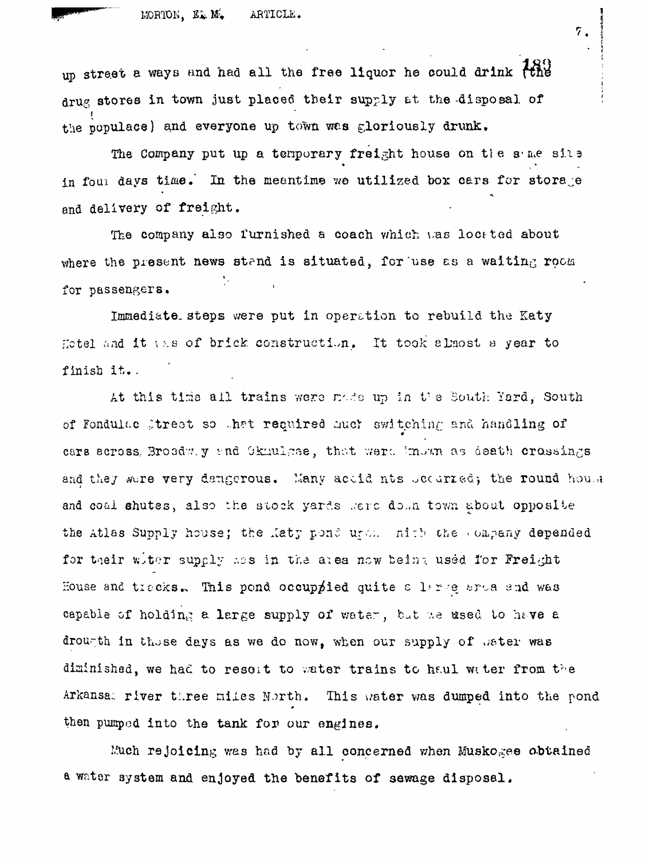

up street a ways and had all the free liquor he could drink the drug stores in town just placed their supply at the disposal of the populace) and everyone up town was gloriously drunk.

The Company put up a temporary freight house on the same site in four days time. In the meantime we utilized box cars for storage and delivery of freight.

The company also furnished a coach which was located about where the present news stand is situated, for use as a waiting room for passengers.

Immediate steps were put in operation to rebuild the Katy Hotel and it was of brick construction. It took almost a year to finish it.

At this time all trains were node up in the South Yard, South of Fondulae Street so that required much switching and handling of cars across, Broedu. y and Okuulgee, that were known as death crossings and they were very dangerous. Many actid nts becarred; the round house and coal shutes, also the stock yards sere down town about opposite the Atlas Supply house; the Katy pond und. nich the company depended for their witer supply hes in the area now being used for Freight House and tracks. This pond occuppied quite a large area and was capable of holding a large supply of water, but we used to have a drougth in those days as we do now, when our supply of bater was diminished, we had to resort to water trains to haul water from the This water was dumped into the pond Arkansal river three miles North. then pumped into the tank for our engines.

Much rejoicing was had by all concerned when Muskogee obtained a water system and enjoyed the benefits of sewage disposal.

 $\tilde{7}$ .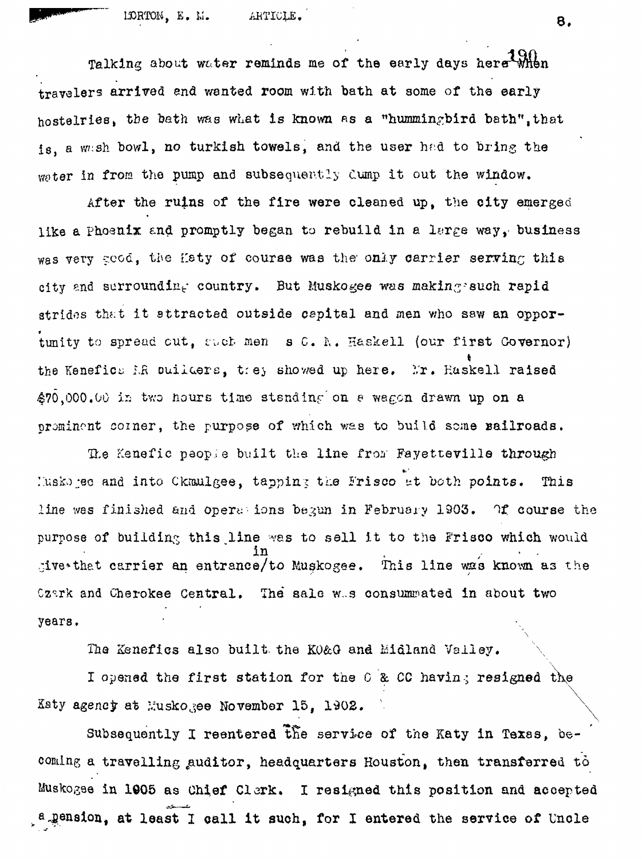Talking about water reminds me of the early days here when travelers arrived end wanted room with bath at some of the early hostelries, the bath was what is known as a "hummingbird bath",that is, a wash bowl, no turkish towels, and the user had to bring the water in from the pump and subsequently Cump it out the window.

After the ruins of the fire were cleaned up, the city emerged like a Phoenix and promptly began to rebuild in a large way, business was very ceod, the Haty of course was the only carrier serving this city and surrounding country. But Muskogee was making-such rapid strides that it attracted outside capital and men who saw an oppor-**\*** tunity to spread cut, cuct men s C. h. H&skell (our first Governor) **ft** the Kenefic^ *LR* ouiicers, tie;, shov/ed up here, *I'x\** Kaskell raised 470,000.00 is tv;o hours tim© stsndinf on *e* wagon dravm up on a prominent coiner, the purpose of which was to build some sailroads.

The Kenefic paople built the line from Fayetteville through ::usko ;ec and into Clcraulgee, tapping tLe Frisco *at* both points. *This* line was finished and oper« ions begun in February 1903. Of course the purpose of building this line was to sell it to the Frisco which would in<br>e/to Muskogee. This line was known  $\frac{1}{2}$  and the carrier and cutoff constants  $\frac{1}{2}$  and  $\frac{1}{2}$  and  $\frac{1}{2}$  and  $\frac{1}{2}$  as  $\frac{1}{2}$ Czark and Cherokee Central. The sale w.s consummated in about two year8.

The Kenefics also built the K0&G and Midland Valley.

I opened the first station for the  $0$  & CC having resigned the Katy agency at Muskogee November 15, 1902. s second contract the contract of the contract of the contract of the contract of the contract of the contract<br>Second contract of the contract of the contract of the contract of the contract of the contract of the contract

Subsequently I reentered the service of the Katy in Texas, becoming a travelling auditor, headquarters Houston, then transferred to Muskogse in 1005 as Chief Clork, I resigned this position and accepted . a pension, at least 1 call it such, for I entered the service of Uncle

8.